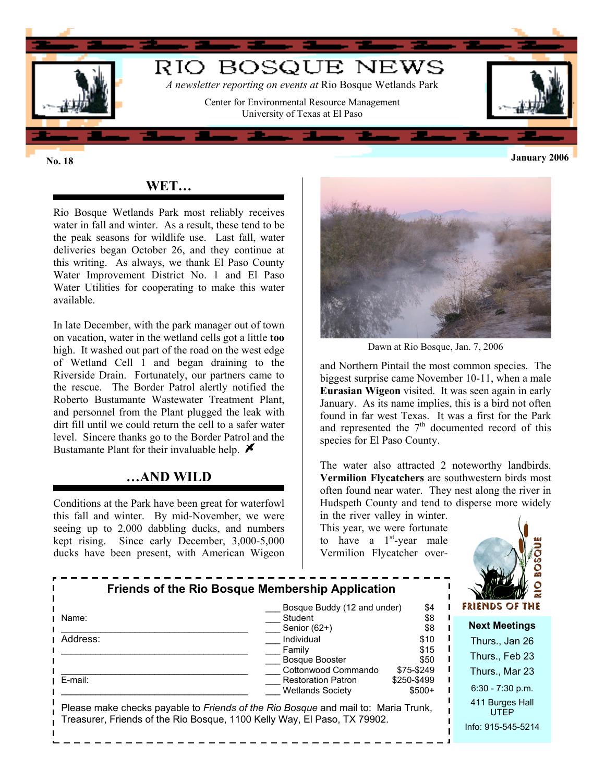

## **WET…**

Rio Bosque Wetlands Park most reliably receives water in fall and winter. As a result, these tend to be the peak seasons for wildlife use. Last fall, water deliveries began October 26, and they continue at this writing. As always, we thank El Paso County Water Improvement District No. 1 and El Paso Water Utilities for cooperating to make this water available.

In late December, with the park manager out of town on vacation, water in the wetland cells got a little **too** high. It washed out part of the road on the west edge of Wetland Cell 1 and began draining to the Riverside Drain. Fortunately, our partners came to the rescue. The Border Patrol alertly notified the Roberto Bustamante Wastewater Treatment Plant, and personnel from the Plant plugged the leak with dirt fill until we could return the cell to a safer water level. Sincere thanks go to the Border Patrol and the Bustamante Plant for their invaluable help.  $\blacktriangleright$ 

#### **…AND WILD**

Conditions at the Park have been great for waterfowl this fall and winter. By mid-November, we were seeing up to 2,000 dabbling ducks, and numbers kept rising. Since early December, 3,000-5,000 ducks have been present, with American Wigeon



Dawn at Rio Bosque, Jan. 7, 2006

and Northern Pintail the most common species. The biggest surprise came November 10-11, when a male **Eurasian Wigeon** visited. It was seen again in early January. As its name implies, this is a bird not often found in far west Texas. It was a first for the Park and represented the  $7<sup>th</sup>$  documented record of this species for El Paso County.

The water also attracted 2 noteworthy landbirds. **Vermilion Flycatchers** are southwestern birds most often found near water. They nest along the river in Hudspeth County and tend to disperse more widely in the river valley in winter.

This year, we were fortunate to have a  $1<sup>st</sup>$ -year male Vermilion Flycatcher over-



| Friends of the Rio Bosque Membership Application                                                                                                              |                                                                             |                                      |                                      |
|---------------------------------------------------------------------------------------------------------------------------------------------------------------|-----------------------------------------------------------------------------|--------------------------------------|--------------------------------------|
|                                                                                                                                                               | Bosque Buddy (12 and under)                                                 | \$4                                  | FRIENDS OF THE                       |
| Name:                                                                                                                                                         | Student<br>Senior (62+)                                                     | \$8<br>\$8                           | <b>Next Meetings</b>                 |
| Address:                                                                                                                                                      | Individual                                                                  | \$10                                 | Thurs., Jan 26                       |
|                                                                                                                                                               | Family<br>Bosque Booster                                                    | \$15<br>\$50                         | Thurs., Feb 23                       |
| E-mail:                                                                                                                                                       | Cottonwood Commando<br><b>Restoration Patron</b><br><b>Wetlands Society</b> | \$75-\$249<br>\$250-\$499<br>$$500+$ | Thurs., Mar 23<br>$6:30 - 7:30$ p.m. |
| Please make checks payable to Friends of the Rio Bosque and mail to: Maria Trunk,<br>Treasurer, Friends of the Rio Bosque, 1100 Kelly Way, El Paso, TX 79902. | 411 Burges Hall<br><b>UTFP</b><br>Info: 915-545-5214                        |                                      |                                      |